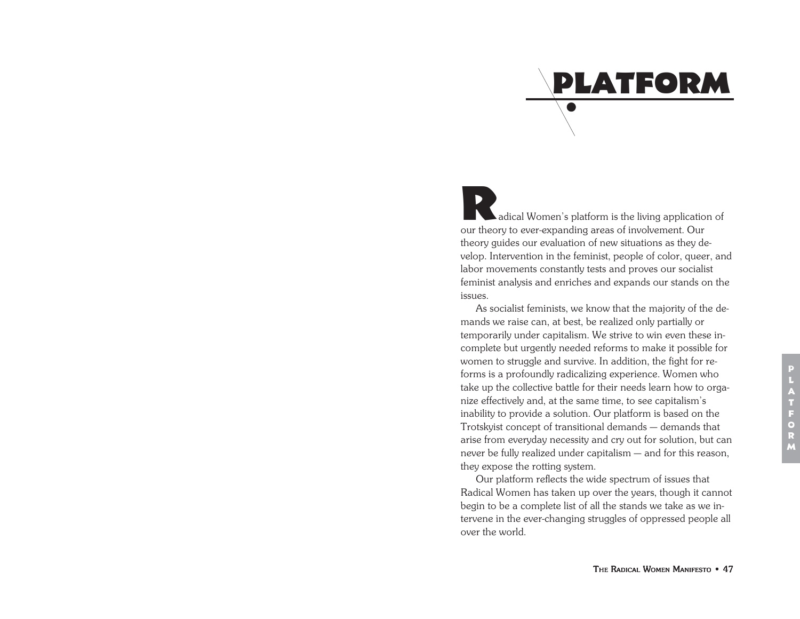adical Women's platform is the living application of our theory to ever-expanding areas of involvement. Our theory guides our evaluation of new situations as they develop. Intervention in the feminist, people of color, queer, and labor movements constantly tests and proves our socialist feminist analysis and enriches and expands our stands on the issues.

As socialist feminists, we know that the majority of the demands we raise can, at best, be realized only partially or temporarily under capitalism. We strive to win even these incomplete but urgently needed reforms to make it possible for women to struggle and survive. In addition, the fight for reforms is a profoundly radicalizing experience. Women who take up the collective battle for their needs learn how to organize effectively and, at the same time, to see capitalism's inability to provide a solution. Our platform is based on the Trotskyist concept of transitional demands — demands that arise from everyday necessity and cry out for solution, but can never be fully realized under capitalism — and for this reason, they expose the rotting system.

Our platform reflects the wide spectrum of issues that Radical Women has taken up over the years, though it cannot begin to be a complete list of all the stands we take as we intervene in the ever-changing struggles of oppressed people all over the world.

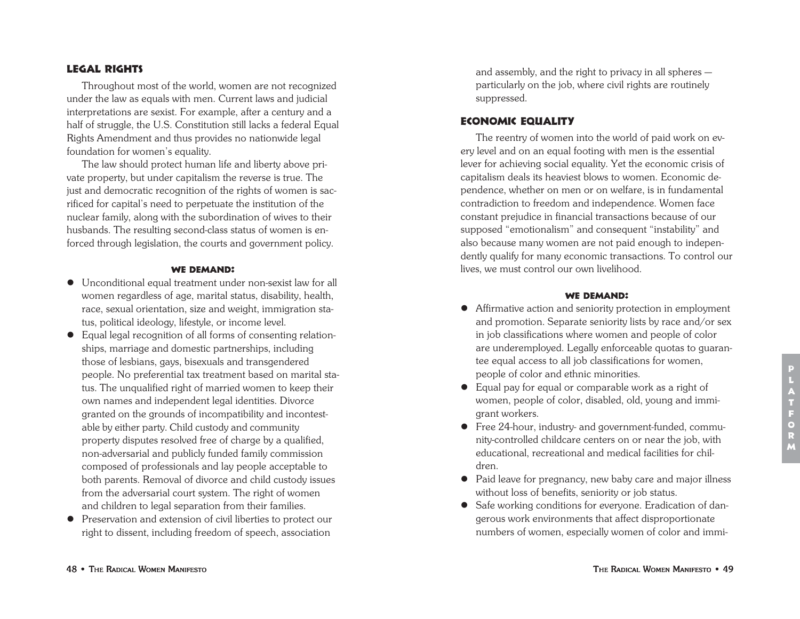### Legal Rights

Throughout most of the world, women are not recognized under the law as equals with men. Current laws and judicial interpretations are sexist. For example, after a century and a half of struggle, the U.S. Constitution still lacks a federal Equal Rights Amendment and thus provides no nationwide legal foundation for women's equality.

The law should protect human life and liberty above private property, but under capitalism the reverse is true. The just and democratic recognition of the rights of women is sacrificed for capital's need to perpetuate the institution of the nuclear family, along with the subordination of wives to their husbands. The resulting second-class status of women is enforced through legislation, the courts and government policy.

#### We demand:

- ! Unconditional equal treatment under non-sexist law for all women regardless of age, marital status, disability, health, race, sexual orientation, size and weight, immigration status, political ideology, lifestyle, or income level.
- ! Equal legal recognition of all forms of consenting relationships, marriage and domestic partnerships, including those of lesbians, gays, bisexuals and transgendered people. No preferential tax treatment based on marital status. The unqualified right of married women to keep their own names and independent legal identities. Divorce granted on the grounds of incompatibility and incontestable by either party. Child custody and community property disputes resolved free of charge by a qualified, non-adversarial and publicly funded family commission composed of professionals and lay people acceptable to both parents. Removal of divorce and child custody issues from the adversarial court system. The right of women and children to legal separation from their families.
- Preservation and extension of civil liberties to protect our right to dissent, including freedom of speech, association

and assembly, and the right to privacy in all spheres particularly on the job, where civil rights are routinely suppressed.

### Economic Equality

The reentry of women into the world of paid work on every level and on an equal footing with men is the essential lever for achieving social equality. Yet the economic crisis of capitalism deals its heaviest blows to women. Economic dependence, whether on men or on welfare, is in fundamental contradiction to freedom and independence. Women face constant prejudice in financial transactions because of our supposed "emotionalism" and consequent "instability" and also because many women are not paid enough to independently qualify for many economic transactions. To control our lives, we must control our own livelihood.

- ! Affirmative action and seniority protection in employment and promotion. Separate seniority lists by race and/or sex in job classifications where women and people of color are underemployed. Legally enforceable quotas to guarantee equal access to all job classifications for women, people of color and ethnic minorities.
- ! Equal pay for equal or comparable work as a right of women, people of color, disabled, old, young and immigrant workers.
- ! Free 24-hour, industry- and government-funded, community-controlled childcare centers on or near the job, with educational, recreational and medical facilities for children.
- ! Paid leave for pregnancy, new baby care and major illness without loss of benefits, seniority or job status.
- ! Safe working conditions for everyone. Eradication of dangerous work environments that affect disproportionate numbers of women, especially women of color and immi-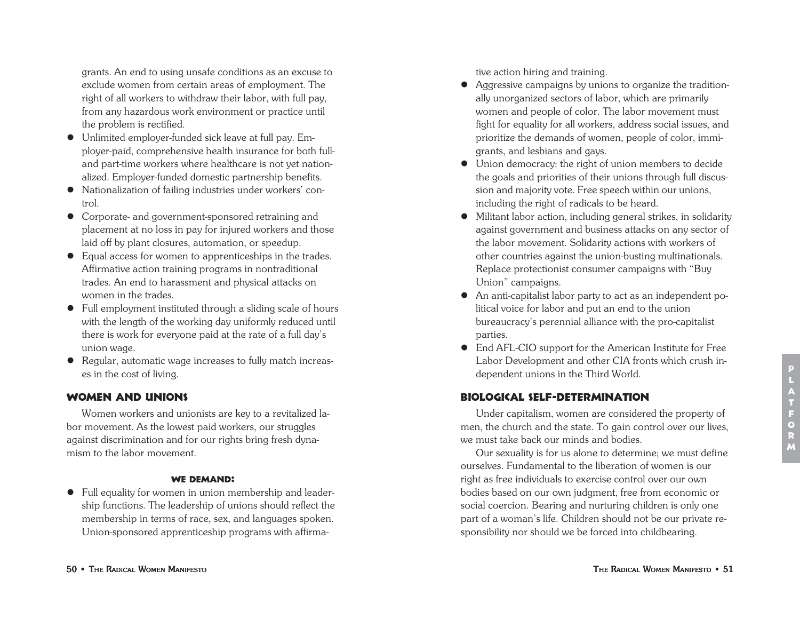grants. An end to using unsafe conditions as an excuse to exclude women from certain areas of employment. The right of all workers to withdraw their labor, with full pay, from any hazardous work environment or practice until the problem is rectified.

- ! Unlimited employer-funded sick leave at full pay. Employer-paid, comprehensive health insurance for both fulland part-time workers where healthcare is not yet nationalized. Employer-funded domestic partnership benefits.
- ! Nationalization of failing industries under workers' control.
- ! Corporate- and government-sponsored retraining and placement at no loss in pay for injured workers and those laid off by plant closures, automation, or speedup.
- ! Equal access for women to apprenticeships in the trades. Affirmative action training programs in nontraditional trades. An end to harassment and physical attacks on women in the trades.
- Full employment instituted through a sliding scale of hours with the length of the working day uniformly reduced until there is work for everyone paid at the rate of a full day's union wage.
- ! Regular, automatic wage increases to fully match increases in the cost of living.

# Women and Unions

Women workers and unionists are key to a revitalized labor movement. As the lowest paid workers, our struggles against discrimination and for our rights bring fresh dynamism to the labor movement.

### We demand:

! Full equality for women in union membership and leadership functions. The leadership of unions should reflect the membership in terms of race, sex, and languages spoken. Union-sponsored apprenticeship programs with affirmative action hiring and training.

- ! Aggressive campaigns by unions to organize the traditionally unorganized sectors of labor, which are primarily women and people of color. The labor movement must fight for equality for all workers, address social issues, and prioritize the demands of women, people of color, immigrants, and lesbians and gays.
- ! Union democracy: the right of union members to decide the goals and priorities of their unions through full discussion and majority vote. Free speech within our unions, including the right of radicals to be heard.
- ! Militant labor action, including general strikes, in solidarity against government and business attacks on any sector of the labor movement. Solidarity actions with workers of other countries against the union-busting multinationals. Replace protectionist consumer campaigns with "Buy Union" campaigns.
- ! An anti-capitalist labor party to act as an independent political voice for labor and put an end to the union bureaucracy's perennial alliance with the pro-capitalist parties.
- ! End AFL-CIO support for the American Institute for Free Labor Development and other CIA fronts which crush independent unions in the Third World.

# Biological Self-Determination

Under capitalism, women are considered the property of men, the church and the state. To gain control over our lives, we must take back our minds and bodies.

Our sexuality is for us alone to determine; we must define ourselves. Fundamental to the liberation of women is our right as free individuals to exercise control over our own bodies based on our own judgment, free from economic or social coercion. Bearing and nurturing children is only one part of a woman's life. Children should not be our private responsibility nor should we be forced into childbearing.

P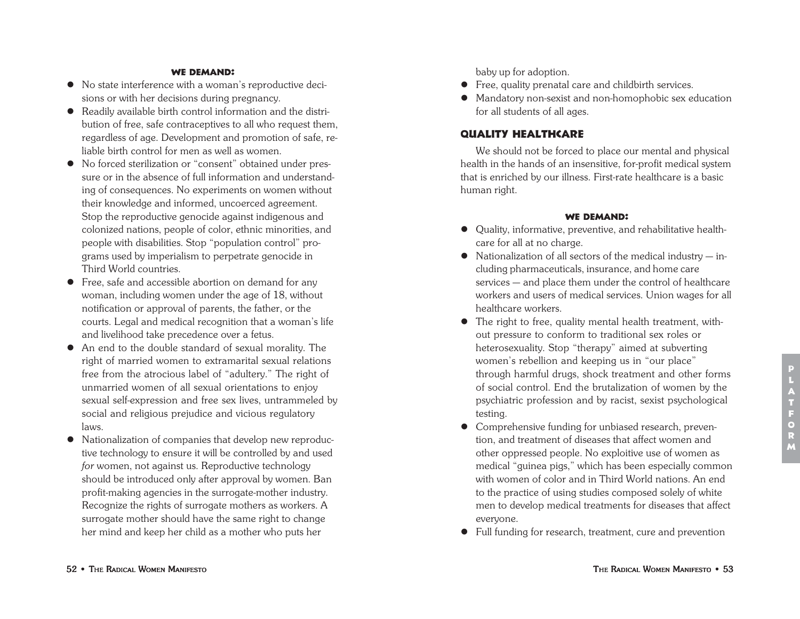#### We demand:

- ! No state interference with a woman's reproductive decisions or with her decisions during pregnancy.
- ! Readily available birth control information and the distribution of free, safe contraceptives to all who request them, regardless of age. Development and promotion of safe, reliable birth control for men as well as women.
- ! No forced sterilization or "consent" obtained under pressure or in the absence of full information and understanding of consequences. No experiments on women without their knowledge and informed, uncoerced agreement. Stop the reproductive genocide against indigenous and colonized nations, people of color, ethnic minorities, and people with disabilities. Stop "population control" programs used by imperialism to perpetrate genocide in Third World countries.
- Free, safe and accessible abortion on demand for any woman, including women under the age of 18, without notification or approval of parents, the father, or the courts. Legal and medical recognition that a woman's life and livelihood take precedence over a fetus.
- An end to the double standard of sexual morality. The right of married women to extramarital sexual relations free from the atrocious label of "adultery." The right of unmarried women of all sexual orientations to enjoy sexual self-expression and free sex lives, untrammeled by social and religious prejudice and vicious regulatory laws.
- ! Nationalization of companies that develop new reproductive technology to ensure it will be controlled by and used *for* women, not against us. Reproductive technology should be introduced only after approval by women. Ban profit-making agencies in the surrogate-mother industry. Recognize the rights of surrogate mothers as workers. A surrogate mother should have the same right to change her mind and keep her child as a mother who puts her

baby up for adoption.

- ! Free, quality prenatal care and childbirth services.
- ! Mandatory non-sexist and non-homophobic sex education for all students of all ages.

### Quality Healthcare

We should not be forced to place our mental and physical health in the hands of an insensitive, for-profit medical system that is enriched by our illness. First-rate healthcare is a basic human right.

- Quality, informative, preventive, and rehabilitative healthcare for all at no charge.
- $\bullet$  Nationalization of all sectors of the medical industry  $-$  including pharmaceuticals, insurance, and home care services — and place them under the control of healthcare workers and users of medical services. Union wages for all healthcare workers.
- The right to free, quality mental health treatment, without pressure to conform to traditional sex roles or heterosexuality. Stop "therapy" aimed at subverting women's rebellion and keeping us in "our place" through harmful drugs, shock treatment and other forms of social control. End the brutalization of women by the psychiatric profession and by racist, sexist psychological testing.
- $\bullet$  Comprehensive funding for unbiased research, prevention, and treatment of diseases that affect women and other oppressed people. No exploitive use of women as medical "guinea pigs," which has been especially common with women of color and in Third World nations. An end to the practice of using studies composed solely of white men to develop medical treatments for diseases that affect everyone.
- ! Full funding for research, treatment, cure and prevention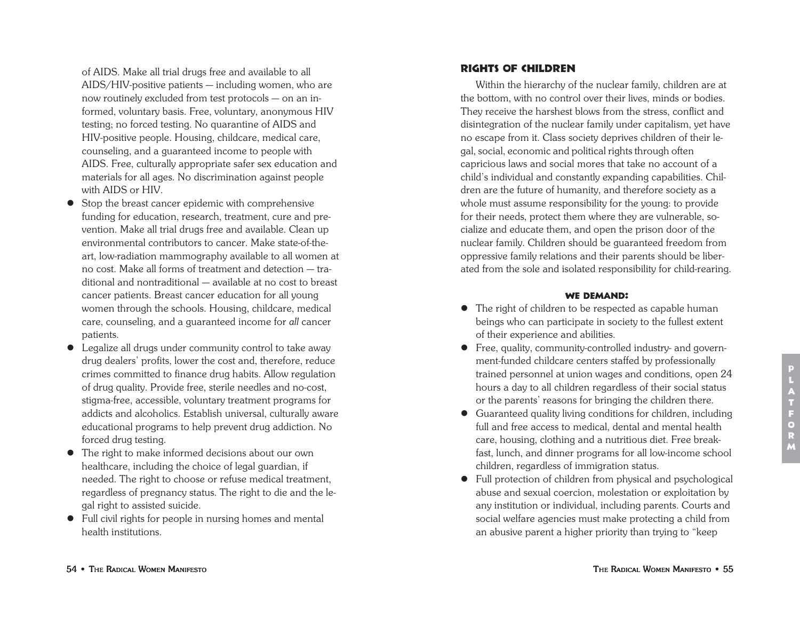of AIDS. Make all trial drugs free and available to all AIDS/HIV-positive patients — including women, who are now routinely excluded from test protocols — on an informed, voluntary basis. Free, voluntary, anonymous HIV testing; no forced testing. No quarantine of AIDS and HIV-positive people. Housing, childcare, medical care, counseling, and a guaranteed income to people with AIDS. Free, culturally appropriate safer sex education and materials for all ages. No discrimination against people with AIDS or HIV.

- Stop the breast cancer epidemic with comprehensive funding for education, research, treatment, cure and prevention. Make all trial drugs free and available. Clean up environmental contributors to cancer. Make state-of-theart, low-radiation mammography available to all women at no cost. Make all forms of treatment and detection — traditional and nontraditional — available at no cost to breast cancer patients. Breast cancer education for all young women through the schools. Housing, childcare, medical care, counseling, and a guaranteed income for *all* cancer patients.
- ! Legalize all drugs under community control to take away drug dealers' profits, lower the cost and, therefore, reduce crimes committed to finance drug habits. Allow regulation of drug quality. Provide free, sterile needles and no-cost, stigma-free, accessible, voluntary treatment programs for addicts and alcoholics. Establish universal, culturally aware educational programs to help prevent drug addiction. No forced drug testing.
- $\bullet$  The right to make informed decisions about our own healthcare, including the choice of legal guardian, if needed. The right to choose or refuse medical treatment, regardless of pregnancy status. The right to die and the legal right to assisted suicide.
- ! Full civil rights for people in nursing homes and mental health institutions.

### Rights of Children

Within the hierarchy of the nuclear family, children are at the bottom, with no control over their lives, minds or bodies. They receive the harshest blows from the stress, conflict and disintegration of the nuclear family under capitalism, yet have no escape from it. Class society deprives children of their legal, social, economic and political rights through often capricious laws and social mores that take no account of a child's individual and constantly expanding capabilities. Children are the future of humanity, and therefore society as a whole must assume responsibility for the young: to provide for their needs, protect them where they are vulnerable, socialize and educate them, and open the prison door of the nuclear family. Children should be guaranteed freedom from oppressive family relations and their parents should be liberated from the sole and isolated responsibility for child-rearing.

- The right of children to be respected as capable human beings who can participate in society to the fullest extent of their experience and abilities.
- ! Free, quality, community-controlled industry- and government-funded childcare centers staffed by professionally trained personnel at union wages and conditions, open 24 hours a day to all children regardless of their social status or the parents' reasons for bringing the children there.
- ! Guaranteed quality living conditions for children, including full and free access to medical, dental and mental health care, housing, clothing and a nutritious diet. Free breakfast, lunch, and dinner programs for all low-income school children, regardless of immigration status.
- Full protection of children from physical and psychological abuse and sexual coercion, molestation or exploitation by any institution or individual, including parents. Courts and social welfare agencies must make protecting a child from an abusive parent a higher priority than trying to "keep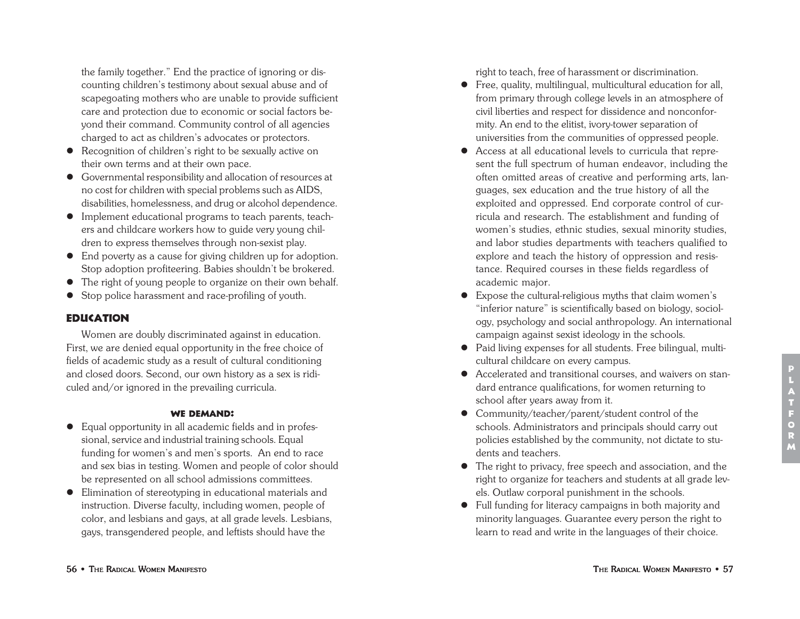the family together." End the practice of ignoring or discounting children's testimony about sexual abuse and of scapegoating mothers who are unable to provide sufficient care and protection due to economic or social factors beyond their command. Community control of all agencies charged to act as children's advocates or protectors.

- ! Recognition of children's right to be sexually active on their own terms and at their own pace.
- ! Governmental responsibility and allocation of resources at no cost for children with special problems such as AIDS, disabilities, homelessness, and drug or alcohol dependence.
- ! Implement educational programs to teach parents, teachers and childcare workers how to guide very young children to express themselves through non-sexist play.
- ! End poverty as a cause for giving children up for adoption. Stop adoption profiteering. Babies shouldn't be brokered.
- The right of young people to organize on their own behalf.
- ! Stop police harassment and race-profiling of youth.

# **EDUCATION**

Women are doubly discriminated against in education. First, we are denied equal opportunity in the free choice of fields of academic study as a result of cultural conditioning and closed doors. Second, our own history as a sex is ridiculed and/or ignored in the prevailing curricula.

### We demand:

- ! Equal opportunity in all academic fields and in professional, service and industrial training schools. Equal funding for women's and men's sports. An end to race and sex bias in testing. Women and people of color should be represented on all school admissions committees.
- ! Elimination of stereotyping in educational materials and instruction. Diverse faculty, including women, people of color, and lesbians and gays, at all grade levels. Lesbians, gays, transgendered people, and leftists should have the

right to teach, free of harassment or discrimination.

- ! Free, quality, multilingual, multicultural education for all, from primary through college levels in an atmosphere of civil liberties and respect for dissidence and nonconformity. An end to the elitist, ivory-tower separation of universities from the communities of oppressed people.
- ! Access at all educational levels to curricula that represent the full spectrum of human endeavor, including the often omitted areas of creative and performing arts, languages, sex education and the true history of all the exploited and oppressed. End corporate control of curricula and research. The establishment and funding of women's studies, ethnic studies, sexual minority studies, and labor studies departments with teachers qualified to explore and teach the history of oppression and resistance. Required courses in these fields regardless of academic major.
- ! Expose the cultural-religious myths that claim women's "inferior nature" is scientifically based on biology, sociology, psychology and social anthropology. An international campaign against sexist ideology in the schools.
- ! Paid living expenses for all students. Free bilingual, multicultural childcare on every campus.
- ! Accelerated and transitional courses, and waivers on standard entrance qualifications, for women returning to school after years away from it.
- Community/teacher/parent/student control of the schools. Administrators and principals should carry out policies established by the community, not dictate to students and teachers.
- The right to privacy, free speech and association, and the right to organize for teachers and students at all grade levels. Outlaw corporal punishment in the schools.
- ! Full funding for literacy campaigns in both majority and minority languages. Guarantee every person the right to learn to read and write in the languages of their choice.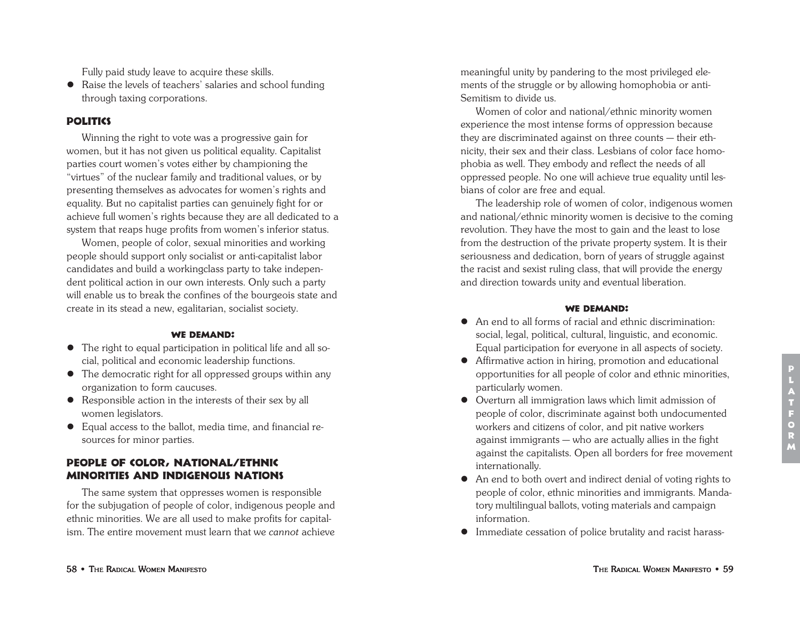Fully paid study leave to acquire these skills.

! Raise the levels of teachers' salaries and school funding through taxing corporations.

## **POLITICS**

Winning the right to vote was a progressive gain for women, but it has not given us political equality. Capitalist parties court women's votes either by championing the "virtues" of the nuclear family and traditional values, or by presenting themselves as advocates for women's rights and equality. But no capitalist parties can genuinely fight for or achieve full women's rights because they are all dedicated to a system that reaps huge profits from women's inferior status.

Women, people of color, sexual minorities and working people should support only socialist or anti-capitalist labor candidates and build a workingclass party to take independent political action in our own interests. Only such a party will enable us to break the confines of the bourgeois state and create in its stead a new, egalitarian, socialist society.

#### We demand:

- The right to equal participation in political life and all social, political and economic leadership functions.
- The democratic right for all oppressed groups within any organization to form caucuses.
- ! Responsible action in the interests of their sex by all women legislators.
- ! Equal access to the ballot, media time, and financial resources for minor parties.

# People of Color, National/Ethnic Minorities and Indigenous Nations

The same system that oppresses women is responsible for the subjugation of people of color, indigenous people and ethnic minorities. We are all used to make profits for capitalism. The entire movement must learn that we *cannot* achieve

meaningful unity by pandering to the most privileged elements of the struggle or by allowing homophobia or anti-Semitism to divide us.

Women of color and national/ethnic minority women experience the most intense forms of oppression because they are discriminated against on three counts — their ethnicity, their sex and their class. Lesbians of color face homophobia as well. They embody and reflect the needs of all oppressed people. No one will achieve true equality until lesbians of color are free and equal.

The leadership role of women of color, indigenous women and national/ethnic minority women is decisive to the coming revolution. They have the most to gain and the least to lose from the destruction of the private property system. It is their seriousness and dedication, born of years of struggle against the racist and sexist ruling class, that will provide the energy and direction towards unity and eventual liberation.

### We demand:

- An end to all forms of racial and ethnic discrimination: social, legal, political, cultural, linguistic, and economic. Equal participation for everyone in all aspects of society.
- ! Affirmative action in hiring, promotion and educational opportunities for all people of color and ethnic minorities, particularly women.
- ! Overturn all immigration laws which limit admission of people of color, discriminate against both undocumented workers and citizens of color, and pit native workers against immigrants — who are actually allies in the fight against the capitalists. Open all borders for free movement internationally.
- An end to both overt and indirect denial of voting rights to people of color, ethnic minorities and immigrants. Mandatory multilingual ballots, voting materials and campaign information.
- ! Immediate cessation of police brutality and racist harass-

P L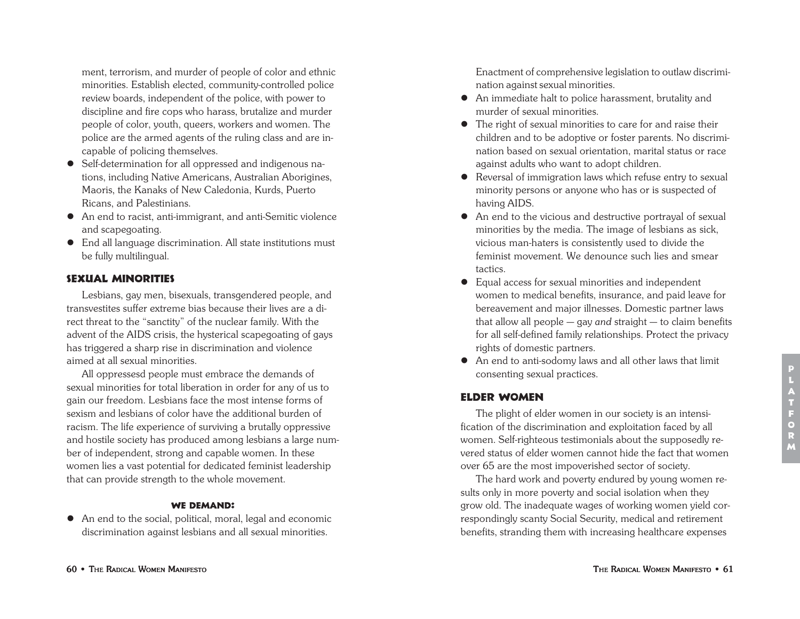ment, terrorism, and murder of people of color and ethnic minorities. Establish elected, community-controlled police review boards, independent of the police, with power to discipline and fire cops who harass, brutalize and murder people of color, youth, queers, workers and women. The police are the armed agents of the ruling class and are incapable of policing themselves.

- ! Self-determination for all oppressed and indigenous nations, including Native Americans, Australian Aborigines, Maoris, the Kanaks of New Caledonia, Kurds, Puerto Ricans, and Palestinians.
- ! An end to racist, anti-immigrant, and anti-Semitic violence and scapegoating.
- End all language discrimination. All state institutions must be fully multilingual.

### Sexual Minorities

Lesbians, gay men, bisexuals, transgendered people, and transvestites suffer extreme bias because their lives are a direct threat to the "sanctity" of the nuclear family. With the advent of the AIDS crisis, the hysterical scapegoating of gays has triggered a sharp rise in discrimination and violence aimed at all sexual minorities.

All oppressesd people must embrace the demands of sexual minorities for total liberation in order for any of us to gain our freedom. Lesbians face the most intense forms of sexism and lesbians of color have the additional burden of racism. The life experience of surviving a brutally oppressive and hostile society has produced among lesbians a large number of independent, strong and capable women. In these women lies a vast potential for dedicated feminist leadership that can provide strength to the whole movement.

### We demand:

• An end to the social, political, moral, legal and economic discrimination against lesbians and all sexual minorities.

Enactment of comprehensive legislation to outlaw discrimination against sexual minorities.

- ! An immediate halt to police harassment, brutality and murder of sexual minorities.
- The right of sexual minorities to care for and raise their children and to be adoptive or foster parents. No discrimination based on sexual orientation, marital status or race against adults who want to adopt children.
- ! Reversal of immigration laws which refuse entry to sexual minority persons or anyone who has or is suspected of having AIDS.
- ! An end to the vicious and destructive portrayal of sexual minorities by the media. The image of lesbians as sick, vicious man-haters is consistently used to divide the feminist movement. We denounce such lies and smear tactics.
- ! Equal access for sexual minorities and independent women to medical benefits, insurance, and paid leave for bereavement and major illnesses. Domestic partner laws that allow all people — gay *and* straight — to claim benefits for all self-defined family relationships. Protect the privacy rights of domestic partners.
- ! An end to anti-sodomy laws and all other laws that limit consenting sexual practices.

# Elder Women

The plight of elder women in our society is an intensification of the discrimination and exploitation faced by all women. Self-righteous testimonials about the supposedly revered status of elder women cannot hide the fact that women over 65 are the most impoverished sector of society.

The hard work and poverty endured by young women results only in more poverty and social isolation when they grow old. The inadequate wages of working women yield correspondingly scanty Social Security, medical and retirement benefits, stranding them with increasing healthcare expenses

P L A T F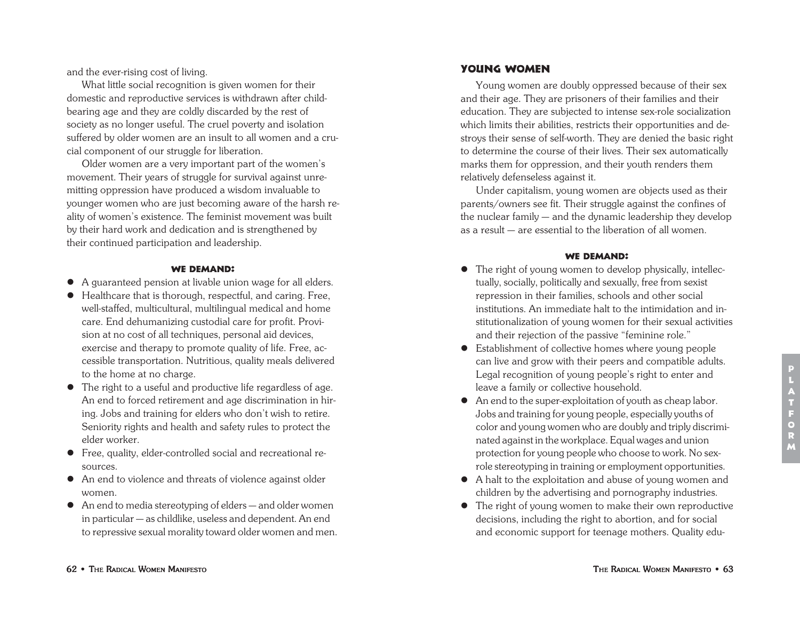and the ever-rising cost of living.

What little social recognition is given women for their domestic and reproductive services is withdrawn after childbearing age and they are coldly discarded by the rest of society as no longer useful. The cruel poverty and isolation suffered by older women are an insult to all women and a crucial component of our struggle for liberation.

Older women are a very important part of the women's movement. Their years of struggle for survival against unremitting oppression have produced a wisdom invaluable to younger women who are just becoming aware of the harsh reality of women's existence. The feminist movement was built by their hard work and dedication and is strengthened by their continued participation and leadership.

### We demand:

- ! A guaranteed pension at livable union wage for all elders.
- ! Healthcare that is thorough, respectful, and caring. Free, well-staffed, multicultural, multilingual medical and home care. End dehumanizing custodial care for profit. Provision at no cost of all techniques, personal aid devices, exercise and therapy to promote quality of life. Free, accessible transportation. Nutritious, quality meals delivered to the home at no charge.
- The right to a useful and productive life regardless of age. An end to forced retirement and age discrimination in hiring. Jobs and training for elders who don't wish to retire. Seniority rights and health and safety rules to protect the elder worker.
- ! Free, quality, elder-controlled social and recreational resources.
- ! An end to violence and threats of violence against older women.
- ! An end to media stereotyping of elders and older women in particular — as childlike, useless and dependent. An end to repressive sexual morality toward older women and men.

## Young Women

Young women are doubly oppressed because of their sex and their age. They are prisoners of their families and their education. They are subjected to intense sex-role socialization which limits their abilities, restricts their opportunities and destroys their sense of self-worth. They are denied the basic right to determine the course of their lives. Their sex automatically marks them for oppression, and their youth renders them relatively defenseless against it.

Under capitalism, young women are objects used as their parents/owners see fit. Their struggle against the confines of the nuclear family — and the dynamic leadership they develop as a result — are essential to the liberation of all women.

- ! The right of young women to develop physically, intellectually, socially, politically and sexually, free from sexist repression in their families, schools and other social institutions. An immediate halt to the intimidation and institutionalization of young women for their sexual activities and their rejection of the passive "feminine role."
- ! Establishment of collective homes where young people can live and grow with their peers and compatible adults. Legal recognition of young people's right to enter and leave a family or collective household.
- ! An end to the super-exploitation of youth as cheap labor. Jobs and training for young people, especially youths of color and young women who are doubly and triply discriminated against in the workplace. Equal wages and union protection for young people who choose to work. No sexrole stereotyping in training or employment opportunities.
- ! A halt to the exploitation and abuse of young women and children by the advertising and pornography industries.
- The right of young women to make their own reproductive decisions, including the right to abortion, and for social and economic support for teenage mothers. Quality edu-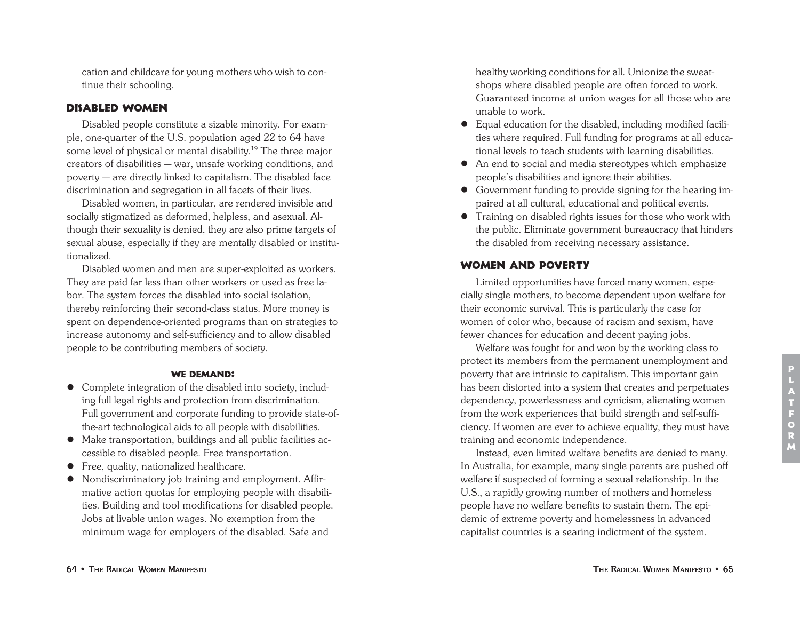cation and childcare for young mothers who wish to continue their schooling.

### Disabled Women

Disabled people constitute a sizable minority. For example, one-quarter of the U.S. population aged 22 to 64 have some level of physical or mental disability.<sup>19</sup> The three major creators of disabilities — war, unsafe working conditions, and poverty — are directly linked to capitalism. The disabled face discrimination and segregation in all facets of their lives.

Disabled women, in particular, are rendered invisible and socially stigmatized as deformed, helpless, and asexual. Although their sexuality is denied, they are also prime targets of sexual abuse, especially if they are mentally disabled or institutionalized.

Disabled women and men are super-exploited as workers. They are paid far less than other workers or used as free labor. The system forces the disabled into social isolation, thereby reinforcing their second-class status. More money is spent on dependence-oriented programs than on strategies to increase autonomy and self-sufficiency and to allow disabled people to be contributing members of society.

### We demand:

- $\bullet$  Complete integration of the disabled into society, including full legal rights and protection from discrimination. Full government and corporate funding to provide state-ofthe-art technological aids to all people with disabilities.
- ! Make transportation, buildings and all public facilities accessible to disabled people. Free transportation.
- ! Free, quality, nationalized healthcare.
- ! Nondiscriminatory job training and employment. Affirmative action quotas for employing people with disabilities. Building and tool modifications for disabled people. Jobs at livable union wages. No exemption from the minimum wage for employers of the disabled. Safe and

healthy working conditions for all. Unionize the sweatshops where disabled people are often forced to work. Guaranteed income at union wages for all those who are unable to work.

- ! Equal education for the disabled, including modified facilities where required. Full funding for programs at all educational levels to teach students with learning disabilities.
- An end to social and media stereotypes which emphasize people's disabilities and ignore their abilities.
- ! Government funding to provide signing for the hearing impaired at all cultural, educational and political events.
- ! Training on disabled rights issues for those who work with the public. Eliminate government bureaucracy that hinders the disabled from receiving necessary assistance.

# Women and Poverty

Limited opportunities have forced many women, especially single mothers, to become dependent upon welfare for their economic survival. This is particularly the case for women of color who, because of racism and sexism, have fewer chances for education and decent paying jobs.

Welfare was fought for and won by the working class to protect its members from the permanent unemployment and poverty that are intrinsic to capitalism. This important gain has been distorted into a system that creates and perpetuates dependency, powerlessness and cynicism, alienating women from the work experiences that build strength and self-sufficiency. If women are ever to achieve equality, they must have training and economic independence.

Instead, even limited welfare benefits are denied to many. In Australia, for example, many single parents are pushed off welfare if suspected of forming a sexual relationship. In the U.S., a rapidly growing number of mothers and homeless people have no welfare benefits to sustain them. The epidemic of extreme poverty and homelessness in advanced capitalist countries is a searing indictment of the system.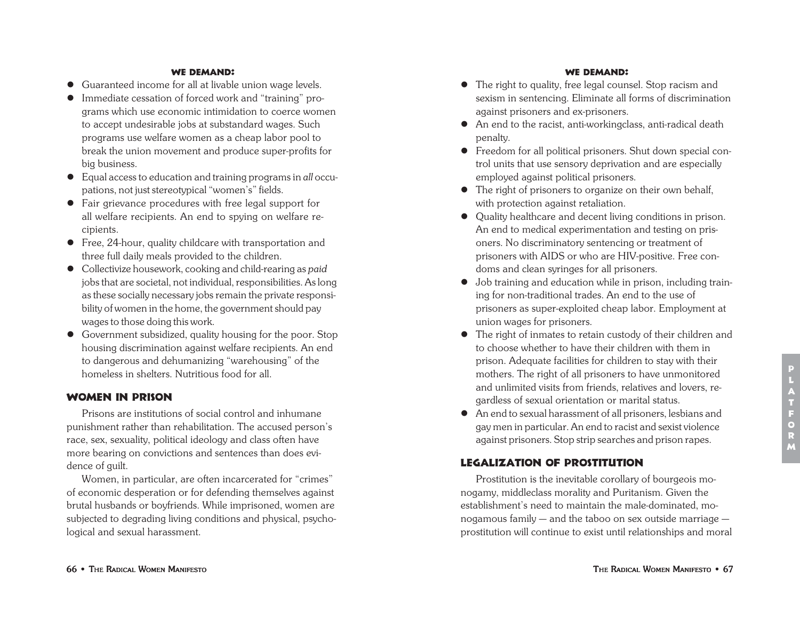#### We demand:

- ! Guaranteed income for all at livable union wage levels.
- ! Immediate cessation of forced work and "training" programs which use economic intimidation to coerce women to accept undesirable jobs at substandard wages. Such programs use welfare women as a cheap labor pool to break the union movement and produce super-profits for big business.
- ! Equal access to education and training programs in *all* occupations, not just stereotypical "women's" fields.
- ! Fair grievance procedures with free legal support for all welfare recipients. An end to spying on welfare recipients.
- ! Free, 24-hour, quality childcare with transportation and three full daily meals provided to the children.
- ! Collectivize housework, cooking and child-rearing as *paid* jobs that are societal, not individual, responsibilities. As long as these socially necessary jobs remain the private responsibility of women in the home, the government should pay wages to those doing this work.
- ! Government subsidized, quality housing for the poor. Stop housing discrimination against welfare recipients. An end to dangerous and dehumanizing "warehousing" of the homeless in shelters. Nutritious food for all.

### Women in Prison

Prisons are institutions of social control and inhumane punishment rather than rehabilitation. The accused person's race, sex, sexuality, political ideology and class often have more bearing on convictions and sentences than does evidence of guilt.

Women, in particular, are often incarcerated for "crimes" of economic desperation or for defending themselves against brutal husbands or boyfriends. While imprisoned, women are subjected to degrading living conditions and physical, psychological and sexual harassment.

### We demand:

- The right to quality, free legal counsel. Stop racism and sexism in sentencing. Eliminate all forms of discrimination against prisoners and ex-prisoners.
- ! An end to the racist, anti-workingclass, anti-radical death penalty.
- ! Freedom for all political prisoners. Shut down special control units that use sensory deprivation and are especially employed against political prisoners.
- The right of prisoners to organize on their own behalf, with protection against retaliation.
- ! Quality healthcare and decent living conditions in prison. An end to medical experimentation and testing on prisoners. No discriminatory sentencing or treatment of prisoners with AIDS or who are HIV-positive. Free condoms and clean syringes for all prisoners.
- ! Job training and education while in prison, including training for non-traditional trades. An end to the use of prisoners as super-exploited cheap labor. Employment at union wages for prisoners.
- The right of inmates to retain custody of their children and to choose whether to have their children with them in prison. Adequate facilities for children to stay with their mothers. The right of all prisoners to have unmonitored and unlimited visits from friends, relatives and lovers, regardless of sexual orientation or marital status.
- ! An end to sexual harassment of all prisoners, lesbians and gay men in particular. An end to racist and sexist violence against prisoners. Stop strip searches and prison rapes.

# Legalization of Prostitution

Prostitution is the inevitable corollary of bourgeois monogamy, middleclass morality and Puritanism. Given the establishment's need to maintain the male-dominated, monogamous family — and the taboo on sex outside marriage prostitution will continue to exist until relationships and moral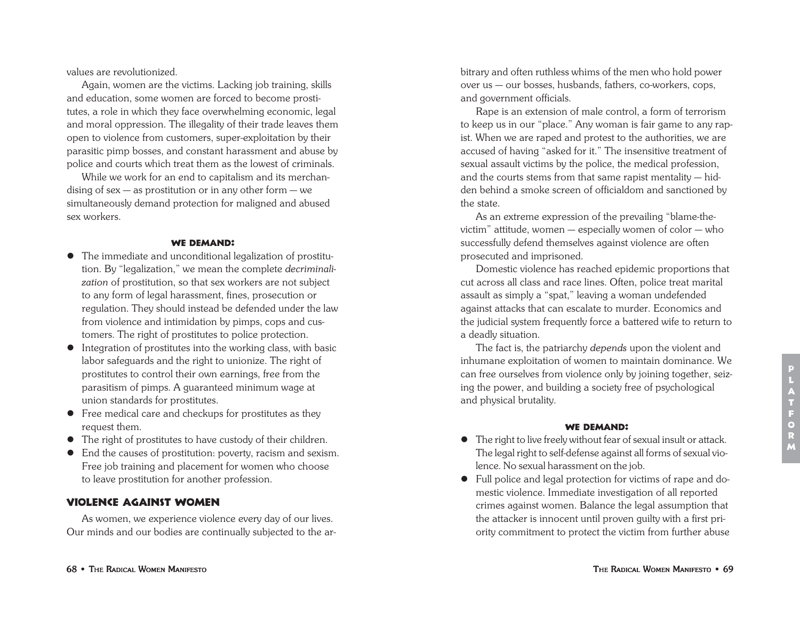values are revolutionized.

Again, women are the victims. Lacking job training, skills and education, some women are forced to become prostitutes, a role in which they face overwhelming economic, legal and moral oppression. The illegality of their trade leaves them open to violence from customers, super-exploitation by their parasitic pimp bosses, and constant harassment and abuse by police and courts which treat them as the lowest of criminals.

While we work for an end to capitalism and its merchandising of  $sex - as$  prostitution or in any other form  $-$  we simultaneously demand protection for maligned and abused sex workers.

### We demand:

- The immediate and unconditional legalization of prostitution. By "legalization," we mean the complete *decriminalization* of prostitution, so that sex workers are not subject to any form of legal harassment, fines, prosecution or regulation. They should instead be defended under the law from violence and intimidation by pimps, cops and customers. The right of prostitutes to police protection.
- Integration of prostitutes into the working class, with basic labor safeguards and the right to unionize. The right of prostitutes to control their own earnings, free from the parasitism of pimps. A guaranteed minimum wage at union standards for prostitutes.
- Free medical care and checkups for prostitutes as they request them.
- The right of prostitutes to have custody of their children.
- ! End the causes of prostitution: poverty, racism and sexism. Free job training and placement for women who choose to leave prostitution for another profession.

### Violence against Women

As women, we experience violence every day of our lives. Our minds and our bodies are continually subjected to the arbitrary and often ruthless whims of the men who hold power over us — our bosses, husbands, fathers, co-workers, cops, and government officials.

Rape is an extension of male control, a form of terrorism to keep us in our "place." Any woman is fair game to any rapist. When we are raped and protest to the authorities, we are accused of having "asked for it." The insensitive treatment of sexual assault victims by the police, the medical profession, and the courts stems from that same rapist mentality — hidden behind a smoke screen of officialdom and sanctioned by the state.

As an extreme expression of the prevailing "blame-thevictim" attitude, women — especially women of color — who successfully defend themselves against violence are often prosecuted and imprisoned.

Domestic violence has reached epidemic proportions that cut across all class and race lines. Often, police treat marital assault as simply a "spat," leaving a woman undefended against attacks that can escalate to murder. Economics and the judicial system frequently force a battered wife to return to a deadly situation.

The fact is, the patriarchy *depends* upon the violent and inhumane exploitation of women to maintain dominance. We can free ourselves from violence only by joining together, seizing the power, and building a society free of psychological and physical brutality.

- The right to live freely without fear of sexual insult or attack. The legal right to self-defense against all forms of sexual violence. No sexual harassment on the job.
- ! Full police and legal protection for victims of rape and domestic violence. Immediate investigation of all reported crimes against women. Balance the legal assumption that the attacker is innocent until proven guilty with a first priority commitment to protect the victim from further abuse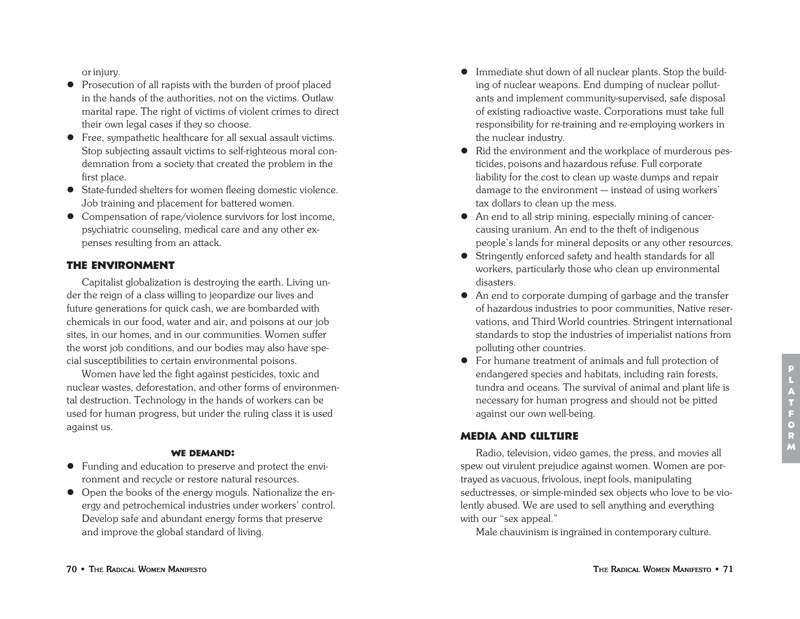or injury.

- ! Prosecution of all rapists with the burden of proof placed in the hands of the authorities, not on the victims. Outlaw marital rape. The right of victims of violent crimes to direct their own legal cases if they so choose.
- ! Free, sympathetic healthcare for all sexual assault victims. Stop subjecting assault victims to self-righteous moral condemnation from a society that created the problem in the first place.
- ! State-funded shelters for women fleeing domestic violence. Job training and placement for battered women.
- Compensation of rape/violence survivors for lost income, psychiatric counseling, medical care and any other expenses resulting from an attack.

# The Environment

Capitalist globalization is destroying the earth. Living under the reign of a class willing to jeopardize our lives and future generations for quick cash, we are bombarded with chemicals in our food, water and air, and poisons at our job sites, in our homes, and in our communities. Women suffer the worst job conditions, and our bodies may also have special susceptibilities to certain environmental poisons.

Women have led the fight against pesticides, toxic and nuclear wastes, deforestation, and other forms of environmental destruction. Technology in the hands of workers can be used for human progress, but under the ruling class it is used against us.

### We demand:

- ! Funding and education to preserve and protect the environment and recycle or restore natural resources.
- $\bullet$  Open the books of the energy moguls. Nationalize the energy and petrochemical industries under workers' control. Develop safe and abundant energy forms that preserve and improve the global standard of living.
- ! Immediate shut down of all nuclear plants. Stop the building of nuclear weapons. End dumping of nuclear pollutants and implement community-supervised, safe disposal of existing radioactive waste. Corporations must take full responsibility for re-training and re-employing workers in the nuclear industry.
- ! Rid the environment and the workplace of murderous pesticides, poisons and hazardous refuse. Full corporate liability for the cost to clean up waste dumps and repair damage to the environment — instead of using workers' tax dollars to clean up the mess.
- ! An end to all strip mining, especially mining of cancercausing uranium. An end to the theft of indigenous people's lands for mineral deposits or any other resources.
- ! Stringently enforced safety and health standards for all workers, particularly those who clean up environmental disasters.
- ! An end to corporate dumping of garbage and the transfer of hazardous industries to poor communities, Native reservations, and Third World countries. Stringent international standards to stop the industries of imperialist nations from polluting other countries.
- ! For humane treatment of animals and full protection of endangered species and habitats, including rain forests, tundra and oceans. The survival of animal and plant life is necessary for human progress and should not be pitted against our own well-being.

# Media and Culture

Radio, television, video games, the press, and movies all spew out virulent prejudice against women. Women are portrayed as vacuous, frivolous, inept fools, manipulating seductresses, or simple-minded sex objects who love to be violently abused. We are used to sell anything and everything with our "sex appeal."

Male chauvinism is ingrained in contemporary culture.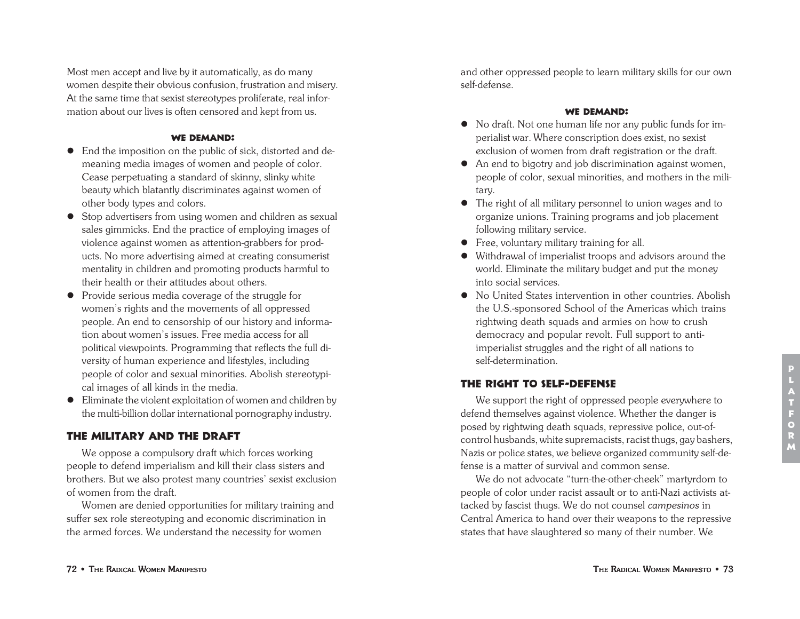Most men accept and live by it automatically, as do many women despite their obvious confusion, frustration and misery. At the same time that sexist stereotypes proliferate, real information about our lives is often censored and kept from us.

#### We demand:

- End the imposition on the public of sick, distorted and demeaning media images of women and people of color. Cease perpetuating a standard of skinny, slinky white beauty which blatantly discriminates against women of other body types and colors.
- ! Stop advertisers from using women and children as sexual sales gimmicks. End the practice of employing images of violence against women as attention-grabbers for products. No more advertising aimed at creating consumerist mentality in children and promoting products harmful to their health or their attitudes about others.
- Provide serious media coverage of the struggle for women's rights and the movements of all oppressed people. An end to censorship of our history and information about women's issues. Free media access for all political viewpoints. Programming that reflects the full diversity of human experience and lifestyles, including people of color and sexual minorities. Abolish stereotypical images of all kinds in the media.
- ! Eliminate the violent exploitation of women and children by the multi-billion dollar international pornography industry.

### The Military and the Draft

We oppose a compulsory draft which forces working people to defend imperialism and kill their class sisters and brothers. But we also protest many countries' sexist exclusion of women from the draft.

Women are denied opportunities for military training and suffer sex role stereotyping and economic discrimination in the armed forces. We understand the necessity for women

and other oppressed people to learn military skills for our own self-defense.

#### We demand:

- ! No draft. Not one human life nor any public funds for imperialist war. Where conscription does exist, no sexist exclusion of women from draft registration or the draft.
- ! An end to bigotry and job discrimination against women, people of color, sexual minorities, and mothers in the military.
- The right of all military personnel to union wages and to organize unions. Training programs and job placement following military service.
- ! Free, voluntary military training for all.
- ! Withdrawal of imperialist troops and advisors around the world. Eliminate the military budget and put the money into social services.
- No United States intervention in other countries. Abolish the U.S.-sponsored School of the Americas which trains rightwing death squads and armies on how to crush democracy and popular revolt. Full support to antiimperialist struggles and the right of all nations to self-determination.

# THE RIGHT TO SELF-DEFENSE

We support the right of oppressed people everywhere to defend themselves against violence. Whether the danger is posed by rightwing death squads, repressive police, out-ofcontrol husbands, white supremacists, racist thugs, gay bashers, Nazis or police states, we believe organized community self-defense is a matter of survival and common sense.

We do not advocate "turn-the-other-cheek" martyrdom to people of color under racist assault or to anti-Nazi activists attacked by fascist thugs. We do not counsel *campesinos* in Central America to hand over their weapons to the repressive states that have slaughtered so many of their number. We